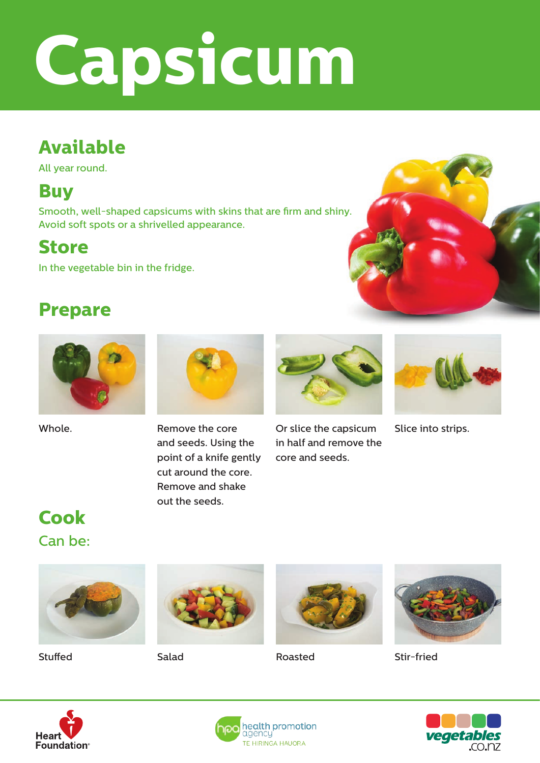# **Capsicum**

## **Available**

All year round.

#### **Buy**

Smooth, well-shaped capsicums with skins that are firm and shiny. Avoid soft spots or a shrivelled appearance.

### **Store**

In the vegetable bin in the fridge.

#### **Prepare**







Remove the core and seeds. Using the point of a knife gently cut around the core. Remove and shake out the seeds. Whole. The Remove the core Construction Construction Construction Construction Construction Construction Constr



in half and remove the core and seeds.



Slice into strips.

### Can be: **Cook**









Stuffed Salad Roasted Stir-fried